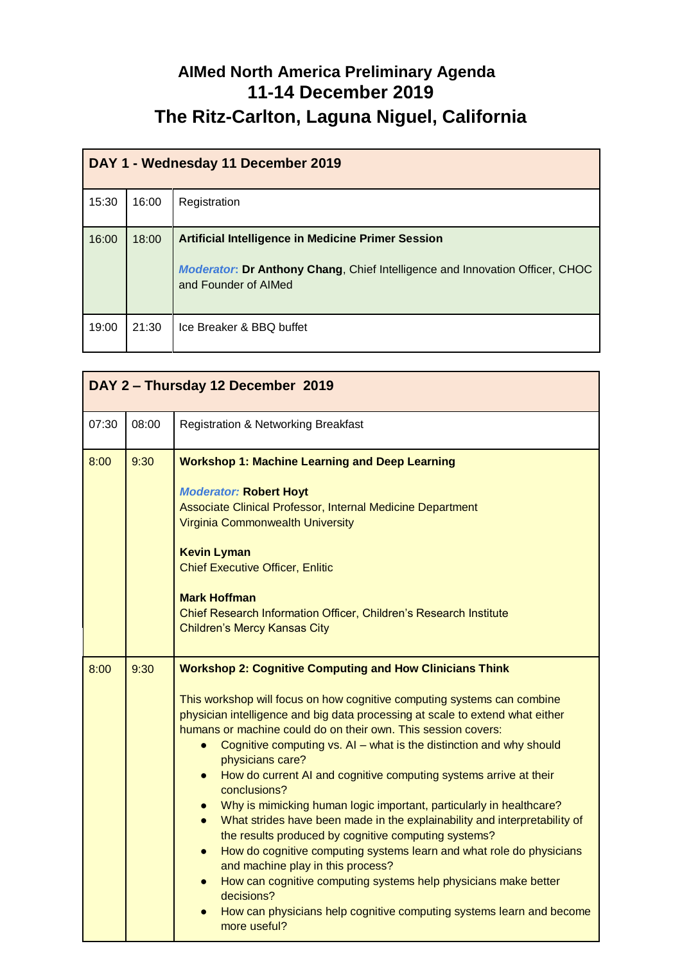## **AIMed North America Preliminary Agenda 11-14 December 2019 The Ritz-Carlton, Laguna Niguel, California**

| DAY 1 - Wednesday 11 December 2019 |       |                                                                                                                                                                          |  |
|------------------------------------|-------|--------------------------------------------------------------------------------------------------------------------------------------------------------------------------|--|
| 15:30                              | 16:00 | Registration                                                                                                                                                             |  |
| 16:00                              | 18:00 | <b>Artificial Intelligence in Medicine Primer Session</b><br><b>Moderator: Dr Anthony Chang, Chief Intelligence and Innovation Officer, CHOC</b><br>and Founder of AIMed |  |
| 19:00                              | 21:30 | Ice Breaker & BBQ buffet                                                                                                                                                 |  |

| DAY 2 - Thursday 12 December 2019 |       |                                                                                                                                                                                                                                                                                                                                                                                                                                                                                                                                                                                                                                                                                                                                                                                                                                                                                                                                                                                                                                                 |  |
|-----------------------------------|-------|-------------------------------------------------------------------------------------------------------------------------------------------------------------------------------------------------------------------------------------------------------------------------------------------------------------------------------------------------------------------------------------------------------------------------------------------------------------------------------------------------------------------------------------------------------------------------------------------------------------------------------------------------------------------------------------------------------------------------------------------------------------------------------------------------------------------------------------------------------------------------------------------------------------------------------------------------------------------------------------------------------------------------------------------------|--|
| 07:30                             | 08:00 | <b>Registration &amp; Networking Breakfast</b>                                                                                                                                                                                                                                                                                                                                                                                                                                                                                                                                                                                                                                                                                                                                                                                                                                                                                                                                                                                                  |  |
| 8:00                              | 9:30  | <b>Workshop 1: Machine Learning and Deep Learning</b><br><b>Moderator: Robert Hoyt</b><br>Associate Clinical Professor, Internal Medicine Department<br><b>Virginia Commonwealth University</b><br><b>Kevin Lyman</b><br><b>Chief Executive Officer, Enlitic</b><br><b>Mark Hoffman</b><br>Chief Research Information Officer, Children's Research Institute<br><b>Children's Mercy Kansas City</b>                                                                                                                                                                                                                                                                                                                                                                                                                                                                                                                                                                                                                                             |  |
| 8:00                              | 9:30  | <b>Workshop 2: Cognitive Computing and How Clinicians Think</b><br>This workshop will focus on how cognitive computing systems can combine<br>physician intelligence and big data processing at scale to extend what either<br>humans or machine could do on their own. This session covers:<br>Cognitive computing vs. AI - what is the distinction and why should<br>physicians care?<br>How do current AI and cognitive computing systems arrive at their<br>$\bullet$<br>conclusions?<br>Why is mimicking human logic important, particularly in healthcare?<br>$\bullet$<br>What strides have been made in the explainability and interpretability of<br>$\bullet$<br>the results produced by cognitive computing systems?<br>How do cognitive computing systems learn and what role do physicians<br>$\bullet$<br>and machine play in this process?<br>How can cognitive computing systems help physicians make better<br>$\bullet$<br>decisions?<br>How can physicians help cognitive computing systems learn and become<br>more useful? |  |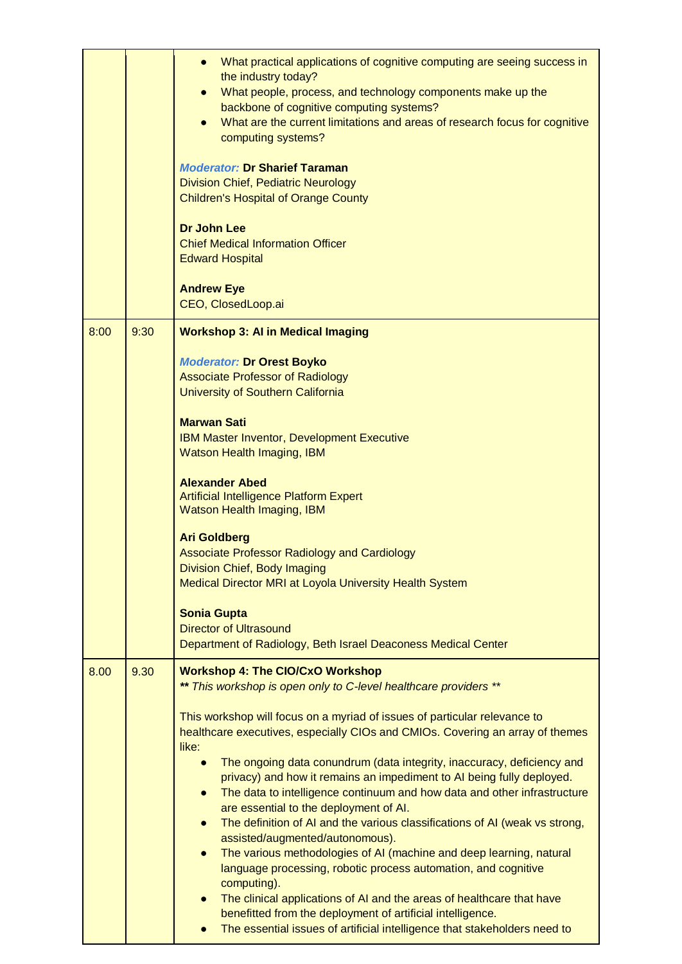| What practical applications of cognitive computing are seeing success in<br>$\bullet$<br>the industry today?<br>What people, process, and technology components make up the<br>$\bullet$<br>backbone of cognitive computing systems?<br>What are the current limitations and areas of research focus for cognitive<br>computing systems?<br><b>Moderator: Dr Sharief Taraman</b><br><b>Division Chief, Pediatric Neurology</b><br><b>Children's Hospital of Orange County</b><br><b>Dr John Lee</b><br><b>Chief Medical Information Officer</b><br><b>Edward Hospital</b><br><b>Andrew Eye</b><br>CEO, ClosedLoop.ai |
|----------------------------------------------------------------------------------------------------------------------------------------------------------------------------------------------------------------------------------------------------------------------------------------------------------------------------------------------------------------------------------------------------------------------------------------------------------------------------------------------------------------------------------------------------------------------------------------------------------------------|
| <b>Workshop 3: AI in Medical Imaging</b>                                                                                                                                                                                                                                                                                                                                                                                                                                                                                                                                                                             |
| <b>Moderator: Dr Orest Boyko</b><br><b>Associate Professor of Radiology</b><br>University of Southern California                                                                                                                                                                                                                                                                                                                                                                                                                                                                                                     |
| <b>Marwan Sati</b><br><b>IBM Master Inventor, Development Executive</b><br>Watson Health Imaging, IBM                                                                                                                                                                                                                                                                                                                                                                                                                                                                                                                |
| <b>Alexander Abed</b><br><b>Artificial Intelligence Platform Expert</b><br>Watson Health Imaging, IBM                                                                                                                                                                                                                                                                                                                                                                                                                                                                                                                |
| <b>Ari Goldberg</b><br><b>Associate Professor Radiology and Cardiology</b><br>Division Chief, Body Imaging                                                                                                                                                                                                                                                                                                                                                                                                                                                                                                           |
| Medical Director MRI at Loyola University Health System                                                                                                                                                                                                                                                                                                                                                                                                                                                                                                                                                              |
| <b>Sonia Gupta</b><br><b>Director of Ultrasound</b>                                                                                                                                                                                                                                                                                                                                                                                                                                                                                                                                                                  |
| Department of Radiology, Beth Israel Deaconess Medical Center                                                                                                                                                                                                                                                                                                                                                                                                                                                                                                                                                        |
| <b>Workshop 4: The CIO/CxO Workshop</b><br>** This workshop is open only to C-level healthcare providers **                                                                                                                                                                                                                                                                                                                                                                                                                                                                                                          |
| This workshop will focus on a myriad of issues of particular relevance to<br>healthcare executives, especially CIOs and CMIOs. Covering an array of themes<br>like:                                                                                                                                                                                                                                                                                                                                                                                                                                                  |
| The ongoing data conundrum (data integrity, inaccuracy, deficiency and<br>$\bullet$<br>privacy) and how it remains an impediment to AI being fully deployed.<br>The data to intelligence continuum and how data and other infrastructure<br>$\bullet$<br>are essential to the deployment of AI.                                                                                                                                                                                                                                                                                                                      |
| The definition of AI and the various classifications of AI (weak vs strong,<br>$\bullet$<br>assisted/augmented/autonomous).<br>The various methodologies of AI (machine and deep learning, natural<br>$\bullet$<br>language processing, robotic process automation, and cognitive                                                                                                                                                                                                                                                                                                                                    |
| computing).                                                                                                                                                                                                                                                                                                                                                                                                                                                                                                                                                                                                          |
| The clinical applications of AI and the areas of healthcare that have<br>$\bullet$                                                                                                                                                                                                                                                                                                                                                                                                                                                                                                                                   |
|                                                                                                                                                                                                                                                                                                                                                                                                                                                                                                                                                                                                                      |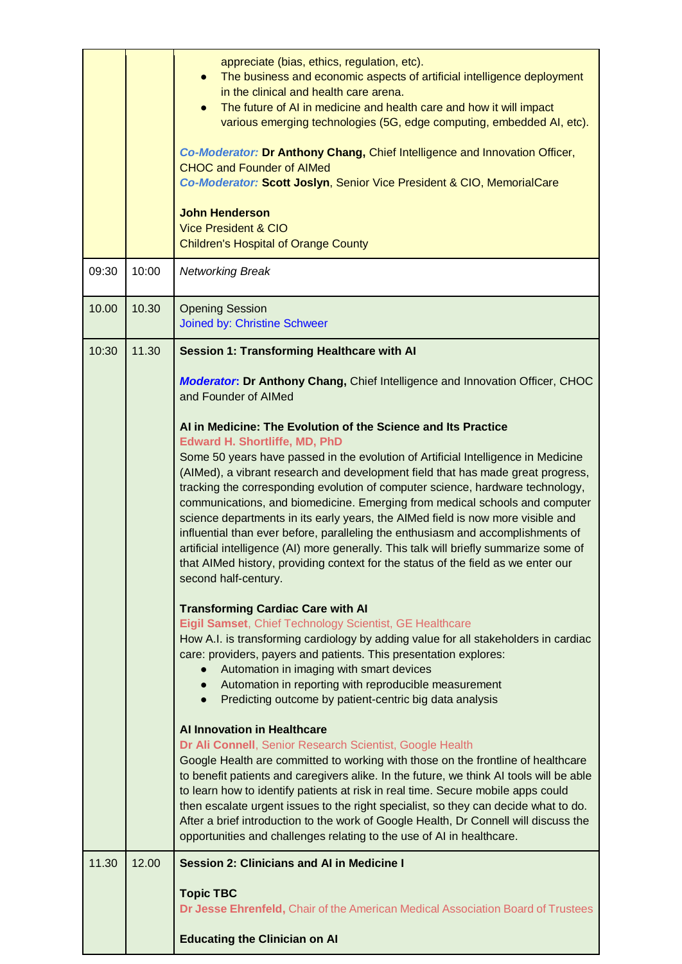|       |       | appreciate (bias, ethics, regulation, etc).<br>The business and economic aspects of artificial intelligence deployment<br>$\bullet$<br>in the clinical and health care arena.<br>The future of AI in medicine and health care and how it will impact<br>$\bullet$<br>various emerging technologies (5G, edge computing, embedded AI, etc).<br>Co-Moderator: Dr Anthony Chang, Chief Intelligence and Innovation Officer,<br><b>CHOC and Founder of AIMed</b><br>Co-Moderator: Scott Joslyn, Senior Vice President & CIO, MemorialCare<br><b>John Henderson</b><br><b>Vice President &amp; CIO</b><br><b>Children's Hospital of Orange County</b>                                                                  |
|-------|-------|-------------------------------------------------------------------------------------------------------------------------------------------------------------------------------------------------------------------------------------------------------------------------------------------------------------------------------------------------------------------------------------------------------------------------------------------------------------------------------------------------------------------------------------------------------------------------------------------------------------------------------------------------------------------------------------------------------------------|
| 09:30 | 10:00 | <b>Networking Break</b>                                                                                                                                                                                                                                                                                                                                                                                                                                                                                                                                                                                                                                                                                           |
| 10.00 | 10.30 | <b>Opening Session</b><br>Joined by: Christine Schweer                                                                                                                                                                                                                                                                                                                                                                                                                                                                                                                                                                                                                                                            |
| 10:30 | 11.30 | <b>Session 1: Transforming Healthcare with AI</b>                                                                                                                                                                                                                                                                                                                                                                                                                                                                                                                                                                                                                                                                 |
|       |       | <b>Moderator: Dr Anthony Chang, Chief Intelligence and Innovation Officer, CHOC</b><br>and Founder of AIMed                                                                                                                                                                                                                                                                                                                                                                                                                                                                                                                                                                                                       |
|       |       | Al in Medicine: The Evolution of the Science and Its Practice<br><b>Edward H. Shortliffe, MD, PhD</b>                                                                                                                                                                                                                                                                                                                                                                                                                                                                                                                                                                                                             |
|       |       | Some 50 years have passed in the evolution of Artificial Intelligence in Medicine<br>(AIMed), a vibrant research and development field that has made great progress,<br>tracking the corresponding evolution of computer science, hardware technology,<br>communications, and biomedicine. Emerging from medical schools and computer<br>science departments in its early years, the AIMed field is now more visible and<br>influential than ever before, paralleling the enthusiasm and accomplishments of<br>artificial intelligence (AI) more generally. This talk will briefly summarize some of<br>that AIMed history, providing context for the status of the field as we enter our<br>second half-century. |
|       |       | <b>Transforming Cardiac Care with AI</b><br>Eigil Samset, Chief Technology Scientist, GE Healthcare<br>How A.I. is transforming cardiology by adding value for all stakeholders in cardiac<br>care: providers, payers and patients. This presentation explores:<br>Automation in imaging with smart devices<br>Automation in reporting with reproducible measurement<br>Predicting outcome by patient-centric big data analysis<br>$\bullet$                                                                                                                                                                                                                                                                      |
|       |       | <b>Al Innovation in Healthcare</b><br>Dr Ali Connell, Senior Research Scientist, Google Health<br>Google Health are committed to working with those on the frontline of healthcare<br>to benefit patients and caregivers alike. In the future, we think AI tools will be able<br>to learn how to identify patients at risk in real time. Secure mobile apps could<br>then escalate urgent issues to the right specialist, so they can decide what to do.<br>After a brief introduction to the work of Google Health, Dr Connell will discuss the<br>opportunities and challenges relating to the use of AI in healthcare.                                                                                         |
| 11.30 | 12.00 | <b>Session 2: Clinicians and AI in Medicine I</b>                                                                                                                                                                                                                                                                                                                                                                                                                                                                                                                                                                                                                                                                 |
|       |       | <b>Topic TBC</b><br>Dr Jesse Ehrenfeld, Chair of the American Medical Association Board of Trustees                                                                                                                                                                                                                                                                                                                                                                                                                                                                                                                                                                                                               |
|       |       | <b>Educating the Clinician on Al</b>                                                                                                                                                                                                                                                                                                                                                                                                                                                                                                                                                                                                                                                                              |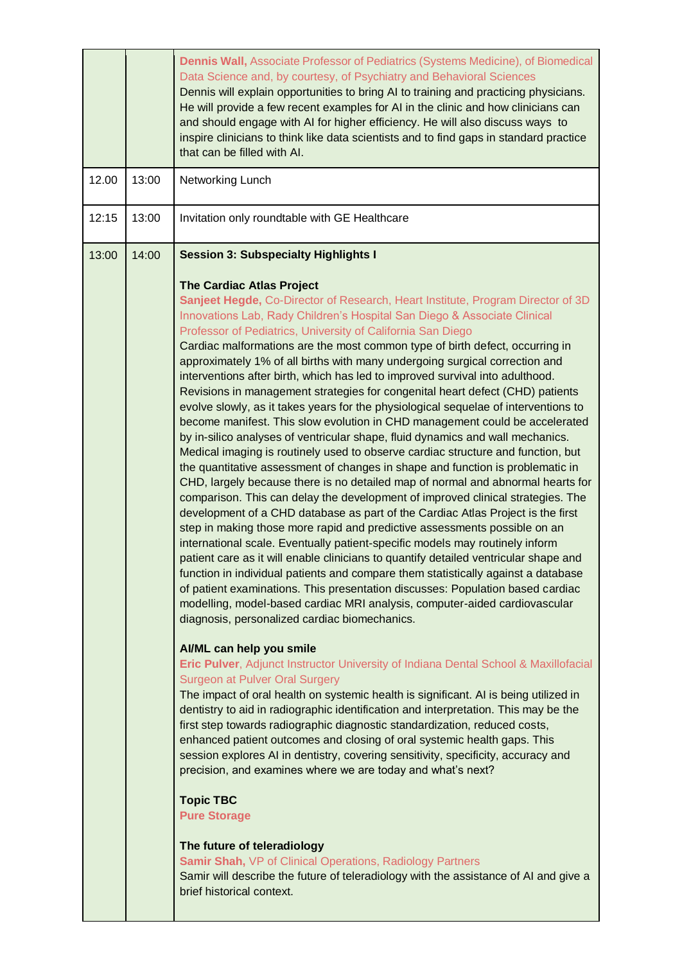|       |       | Dennis Wall, Associate Professor of Pediatrics (Systems Medicine), of Biomedical<br>Data Science and, by courtesy, of Psychiatry and Behavioral Sciences<br>Dennis will explain opportunities to bring AI to training and practicing physicians.<br>He will provide a few recent examples for AI in the clinic and how clinicians can<br>and should engage with AI for higher efficiency. He will also discuss ways to<br>inspire clinicians to think like data scientists and to find gaps in standard practice<br>that can be filled with AI.                                                                                                                                                                                                                                                                                                                                                                                                                                                                                                                                                                                                                                                                                                                                                                                                                                                                                                                                                                                                                                                                                                                                                                                                                                                                                                                                                                                                                                                                                                                                                                                                                                                                                                                                                                                                                                                                                                                                                                                                                                                                                                                                                                                                                                          |
|-------|-------|------------------------------------------------------------------------------------------------------------------------------------------------------------------------------------------------------------------------------------------------------------------------------------------------------------------------------------------------------------------------------------------------------------------------------------------------------------------------------------------------------------------------------------------------------------------------------------------------------------------------------------------------------------------------------------------------------------------------------------------------------------------------------------------------------------------------------------------------------------------------------------------------------------------------------------------------------------------------------------------------------------------------------------------------------------------------------------------------------------------------------------------------------------------------------------------------------------------------------------------------------------------------------------------------------------------------------------------------------------------------------------------------------------------------------------------------------------------------------------------------------------------------------------------------------------------------------------------------------------------------------------------------------------------------------------------------------------------------------------------------------------------------------------------------------------------------------------------------------------------------------------------------------------------------------------------------------------------------------------------------------------------------------------------------------------------------------------------------------------------------------------------------------------------------------------------------------------------------------------------------------------------------------------------------------------------------------------------------------------------------------------------------------------------------------------------------------------------------------------------------------------------------------------------------------------------------------------------------------------------------------------------------------------------------------------------------------------------------------------------------------------------------------------------|
| 12.00 | 13:00 | Networking Lunch                                                                                                                                                                                                                                                                                                                                                                                                                                                                                                                                                                                                                                                                                                                                                                                                                                                                                                                                                                                                                                                                                                                                                                                                                                                                                                                                                                                                                                                                                                                                                                                                                                                                                                                                                                                                                                                                                                                                                                                                                                                                                                                                                                                                                                                                                                                                                                                                                                                                                                                                                                                                                                                                                                                                                                         |
| 12:15 | 13:00 | Invitation only roundtable with GE Healthcare                                                                                                                                                                                                                                                                                                                                                                                                                                                                                                                                                                                                                                                                                                                                                                                                                                                                                                                                                                                                                                                                                                                                                                                                                                                                                                                                                                                                                                                                                                                                                                                                                                                                                                                                                                                                                                                                                                                                                                                                                                                                                                                                                                                                                                                                                                                                                                                                                                                                                                                                                                                                                                                                                                                                            |
| 13:00 | 14:00 | <b>Session 3: Subspecialty Highlights I</b><br><b>The Cardiac Atlas Project</b><br>Sanjeet Hegde, Co-Director of Research, Heart Institute, Program Director of 3D<br>Innovations Lab, Rady Children's Hospital San Diego & Associate Clinical<br>Professor of Pediatrics, University of California San Diego<br>Cardiac malformations are the most common type of birth defect, occurring in<br>approximately 1% of all births with many undergoing surgical correction and<br>interventions after birth, which has led to improved survival into adulthood.<br>Revisions in management strategies for congenital heart defect (CHD) patients<br>evolve slowly, as it takes years for the physiological sequelae of interventions to<br>become manifest. This slow evolution in CHD management could be accelerated<br>by in-silico analyses of ventricular shape, fluid dynamics and wall mechanics.<br>Medical imaging is routinely used to observe cardiac structure and function, but<br>the quantitative assessment of changes in shape and function is problematic in<br>CHD, largely because there is no detailed map of normal and abnormal hearts for<br>comparison. This can delay the development of improved clinical strategies. The<br>development of a CHD database as part of the Cardiac Atlas Project is the first<br>step in making those more rapid and predictive assessments possible on an<br>international scale. Eventually patient-specific models may routinely inform<br>patient care as it will enable clinicians to quantify detailed ventricular shape and<br>function in individual patients and compare them statistically against a database<br>of patient examinations. This presentation discusses: Population based cardiac<br>modelling, model-based cardiac MRI analysis, computer-aided cardiovascular<br>diagnosis, personalized cardiac biomechanics.<br>AI/ML can help you smile<br>Eric Pulver, Adjunct Instructor University of Indiana Dental School & Maxillofacial<br><b>Surgeon at Pulver Oral Surgery</b><br>The impact of oral health on systemic health is significant. Al is being utilized in<br>dentistry to aid in radiographic identification and interpretation. This may be the<br>first step towards radiographic diagnostic standardization, reduced costs,<br>enhanced patient outcomes and closing of oral systemic health gaps. This<br>session explores AI in dentistry, covering sensitivity, specificity, accuracy and<br>precision, and examines where we are today and what's next?<br><b>Topic TBC</b><br><b>Pure Storage</b><br>The future of teleradiology<br>Samir Shah, VP of Clinical Operations, Radiology Partners<br>Samir will describe the future of teleradiology with the assistance of AI and give a |
|       |       | brief historical context.                                                                                                                                                                                                                                                                                                                                                                                                                                                                                                                                                                                                                                                                                                                                                                                                                                                                                                                                                                                                                                                                                                                                                                                                                                                                                                                                                                                                                                                                                                                                                                                                                                                                                                                                                                                                                                                                                                                                                                                                                                                                                                                                                                                                                                                                                                                                                                                                                                                                                                                                                                                                                                                                                                                                                                |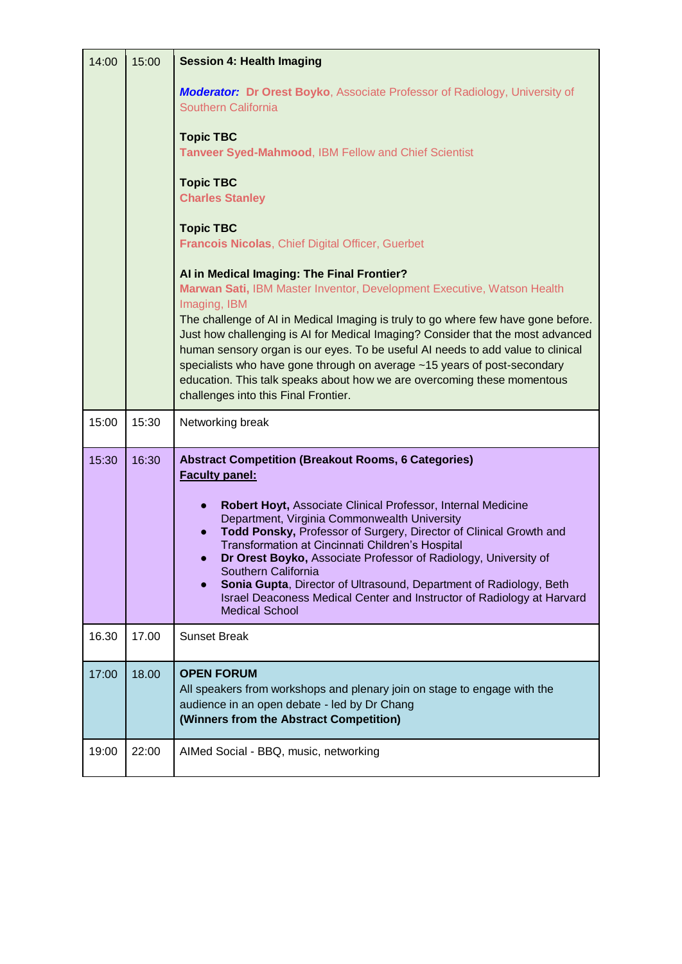| 14:00 | 15:00 | <b>Session 4: Health Imaging</b>                                                                                                                                                                                                                                                                                                                                                                                                                                                                                                                                                                                           |
|-------|-------|----------------------------------------------------------------------------------------------------------------------------------------------------------------------------------------------------------------------------------------------------------------------------------------------------------------------------------------------------------------------------------------------------------------------------------------------------------------------------------------------------------------------------------------------------------------------------------------------------------------------------|
|       |       | <b>Moderator: Dr Orest Boyko, Associate Professor of Radiology, University of</b><br>Southern California                                                                                                                                                                                                                                                                                                                                                                                                                                                                                                                   |
|       |       | <b>Topic TBC</b>                                                                                                                                                                                                                                                                                                                                                                                                                                                                                                                                                                                                           |
|       |       | Tanveer Syed-Mahmood, IBM Fellow and Chief Scientist                                                                                                                                                                                                                                                                                                                                                                                                                                                                                                                                                                       |
|       |       | <b>Topic TBC</b><br><b>Charles Stanley</b>                                                                                                                                                                                                                                                                                                                                                                                                                                                                                                                                                                                 |
|       |       | <b>Topic TBC</b>                                                                                                                                                                                                                                                                                                                                                                                                                                                                                                                                                                                                           |
|       |       | Francois Nicolas, Chief Digital Officer, Guerbet                                                                                                                                                                                                                                                                                                                                                                                                                                                                                                                                                                           |
|       |       | Al in Medical Imaging: The Final Frontier?                                                                                                                                                                                                                                                                                                                                                                                                                                                                                                                                                                                 |
|       |       | Marwan Sati, IBM Master Inventor, Development Executive, Watson Health<br>Imaging, IBM                                                                                                                                                                                                                                                                                                                                                                                                                                                                                                                                     |
|       |       | The challenge of AI in Medical Imaging is truly to go where few have gone before.<br>Just how challenging is AI for Medical Imaging? Consider that the most advanced<br>human sensory organ is our eyes. To be useful AI needs to add value to clinical<br>specialists who have gone through on average ~15 years of post-secondary<br>education. This talk speaks about how we are overcoming these momentous<br>challenges into this Final Frontier.                                                                                                                                                                     |
| 15:00 | 15:30 | Networking break                                                                                                                                                                                                                                                                                                                                                                                                                                                                                                                                                                                                           |
| 15:30 | 16:30 | <b>Abstract Competition (Breakout Rooms, 6 Categories)</b><br><b>Faculty panel:</b><br>Robert Hoyt, Associate Clinical Professor, Internal Medicine<br>$\bullet$<br>Department, Virginia Commonwealth University<br>Todd Ponsky, Professor of Surgery, Director of Clinical Growth and<br>$\bullet$<br>Transformation at Cincinnati Children's Hospital<br>Dr Orest Boyko, Associate Professor of Radiology, University of<br>Southern California<br>Sonia Gupta, Director of Ultrasound, Department of Radiology, Beth<br>Israel Deaconess Medical Center and Instructor of Radiology at Harvard<br><b>Medical School</b> |
| 16.30 | 17.00 | <b>Sunset Break</b>                                                                                                                                                                                                                                                                                                                                                                                                                                                                                                                                                                                                        |
| 17:00 | 18.00 | <b>OPEN FORUM</b><br>All speakers from workshops and plenary join on stage to engage with the<br>audience in an open debate - led by Dr Chang<br>(Winners from the Abstract Competition)                                                                                                                                                                                                                                                                                                                                                                                                                                   |
| 19:00 | 22:00 | AIMed Social - BBQ, music, networking                                                                                                                                                                                                                                                                                                                                                                                                                                                                                                                                                                                      |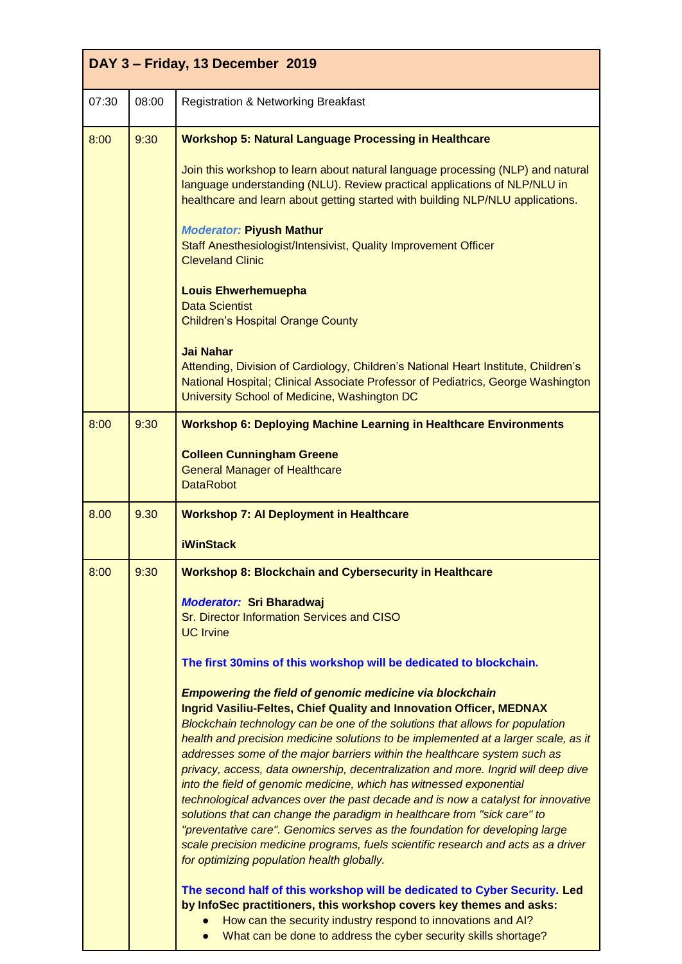| DAY 3 - Friday, 13 December 2019 |       |                                                                                                                                                                                                                                                                                                                                                                                                                                                                                                                                                                                                                         |
|----------------------------------|-------|-------------------------------------------------------------------------------------------------------------------------------------------------------------------------------------------------------------------------------------------------------------------------------------------------------------------------------------------------------------------------------------------------------------------------------------------------------------------------------------------------------------------------------------------------------------------------------------------------------------------------|
| 07:30                            | 08:00 | <b>Registration &amp; Networking Breakfast</b>                                                                                                                                                                                                                                                                                                                                                                                                                                                                                                                                                                          |
| 8:00                             | 9:30  | <b>Workshop 5: Natural Language Processing in Healthcare</b>                                                                                                                                                                                                                                                                                                                                                                                                                                                                                                                                                            |
|                                  |       | Join this workshop to learn about natural language processing (NLP) and natural<br>language understanding (NLU). Review practical applications of NLP/NLU in<br>healthcare and learn about getting started with building NLP/NLU applications.<br><b>Moderator: Piyush Mathur</b>                                                                                                                                                                                                                                                                                                                                       |
|                                  |       | Staff Anesthesiologist/Intensivist, Quality Improvement Officer<br><b>Cleveland Clinic</b>                                                                                                                                                                                                                                                                                                                                                                                                                                                                                                                              |
|                                  |       | <b>Louis Ehwerhemuepha</b><br><b>Data Scientist</b><br><b>Children's Hospital Orange County</b>                                                                                                                                                                                                                                                                                                                                                                                                                                                                                                                         |
|                                  |       | <b>Jai Nahar</b><br>Attending, Division of Cardiology, Children's National Heart Institute, Children's<br>National Hospital; Clinical Associate Professor of Pediatrics, George Washington<br>University School of Medicine, Washington DC                                                                                                                                                                                                                                                                                                                                                                              |
| 8:00                             | 9:30  | <b>Workshop 6: Deploying Machine Learning in Healthcare Environments</b>                                                                                                                                                                                                                                                                                                                                                                                                                                                                                                                                                |
|                                  |       | <b>Colleen Cunningham Greene</b><br><b>General Manager of Healthcare</b><br><b>DataRobot</b>                                                                                                                                                                                                                                                                                                                                                                                                                                                                                                                            |
| 8.00                             | 9.30  | <b>Workshop 7: Al Deployment in Healthcare</b>                                                                                                                                                                                                                                                                                                                                                                                                                                                                                                                                                                          |
|                                  |       | <b>iWinStack</b>                                                                                                                                                                                                                                                                                                                                                                                                                                                                                                                                                                                                        |
| 8:00                             | 9:30  | <b>Workshop 8: Blockchain and Cybersecurity in Healthcare</b>                                                                                                                                                                                                                                                                                                                                                                                                                                                                                                                                                           |
|                                  |       | <b>Moderator: Sri Bharadwaj</b><br>Sr. Director Information Services and CISO<br><b>UC Irvine</b>                                                                                                                                                                                                                                                                                                                                                                                                                                                                                                                       |
|                                  |       | The first 30mins of this workshop will be dedicated to blockchain.                                                                                                                                                                                                                                                                                                                                                                                                                                                                                                                                                      |
|                                  |       | <b>Empowering the field of genomic medicine via blockchain</b><br>Ingrid Vasiliu-Feltes, Chief Quality and Innovation Officer, MEDNAX<br>Blockchain technology can be one of the solutions that allows for population<br>health and precision medicine solutions to be implemented at a larger scale, as it                                                                                                                                                                                                                                                                                                             |
|                                  |       | addresses some of the major barriers within the healthcare system such as<br>privacy, access, data ownership, decentralization and more. Ingrid will deep dive<br>into the field of genomic medicine, which has witnessed exponential<br>technological advances over the past decade and is now a catalyst for innovative<br>solutions that can change the paradigm in healthcare from "sick care" to<br>"preventative care". Genomics serves as the foundation for developing large<br>scale precision medicine programs, fuels scientific research and acts as a driver<br>for optimizing population health globally. |
|                                  |       | The second half of this workshop will be dedicated to Cyber Security. Led<br>by InfoSec practitioners, this workshop covers key themes and asks:<br>How can the security industry respond to innovations and AI?<br>What can be done to address the cyber security skills shortage?                                                                                                                                                                                                                                                                                                                                     |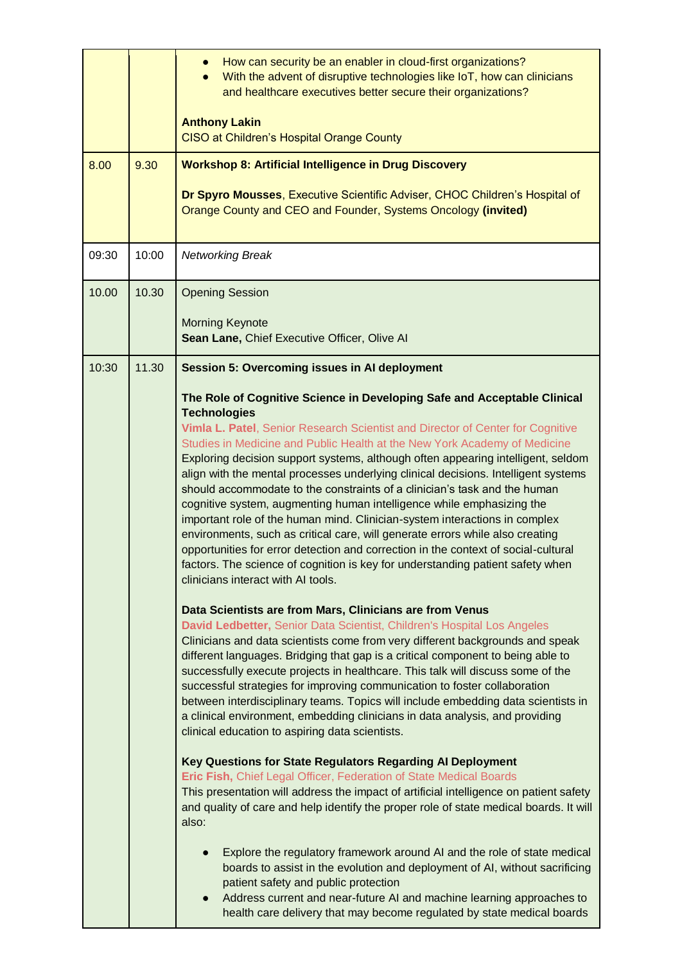|       |       | How can security be an enabler in cloud-first organizations?<br>With the advent of disruptive technologies like IoT, how can clinicians<br>and healthcare executives better secure their organizations?<br><b>Anthony Lakin</b><br><b>CISO at Children's Hospital Orange County</b>                                                                                                                                                                                                                                                                                                                                                                                                                                                                                                                                                                                                             |
|-------|-------|-------------------------------------------------------------------------------------------------------------------------------------------------------------------------------------------------------------------------------------------------------------------------------------------------------------------------------------------------------------------------------------------------------------------------------------------------------------------------------------------------------------------------------------------------------------------------------------------------------------------------------------------------------------------------------------------------------------------------------------------------------------------------------------------------------------------------------------------------------------------------------------------------|
| 8.00  | 9.30  | <b>Workshop 8: Artificial Intelligence in Drug Discovery</b><br>Dr Spyro Mousses, Executive Scientific Adviser, CHOC Children's Hospital of<br>Orange County and CEO and Founder, Systems Oncology (invited)                                                                                                                                                                                                                                                                                                                                                                                                                                                                                                                                                                                                                                                                                    |
| 09:30 | 10:00 | <b>Networking Break</b>                                                                                                                                                                                                                                                                                                                                                                                                                                                                                                                                                                                                                                                                                                                                                                                                                                                                         |
| 10.00 | 10.30 | <b>Opening Session</b><br><b>Morning Keynote</b><br>Sean Lane, Chief Executive Officer, Olive Al                                                                                                                                                                                                                                                                                                                                                                                                                                                                                                                                                                                                                                                                                                                                                                                                |
| 10:30 | 11.30 | <b>Session 5: Overcoming issues in AI deployment</b>                                                                                                                                                                                                                                                                                                                                                                                                                                                                                                                                                                                                                                                                                                                                                                                                                                            |
|       |       | The Role of Cognitive Science in Developing Safe and Acceptable Clinical                                                                                                                                                                                                                                                                                                                                                                                                                                                                                                                                                                                                                                                                                                                                                                                                                        |
|       |       | <b>Technologies</b><br>Vimla L. Patel, Senior Research Scientist and Director of Center for Cognitive<br>Studies in Medicine and Public Health at the New York Academy of Medicine<br>Exploring decision support systems, although often appearing intelligent, seldom<br>align with the mental processes underlying clinical decisions. Intelligent systems<br>should accommodate to the constraints of a clinician's task and the human<br>cognitive system, augmenting human intelligence while emphasizing the<br>important role of the human mind. Clinician-system interactions in complex<br>environments, such as critical care, will generate errors while also creating<br>opportunities for error detection and correction in the context of social-cultural<br>factors. The science of cognition is key for understanding patient safety when<br>clinicians interact with AI tools. |
|       |       | Data Scientists are from Mars, Clinicians are from Venus<br>David Ledbetter, Senior Data Scientist, Children's Hospital Los Angeles<br>Clinicians and data scientists come from very different backgrounds and speak<br>different languages. Bridging that gap is a critical component to being able to<br>successfully execute projects in healthcare. This talk will discuss some of the<br>successful strategies for improving communication to foster collaboration<br>between interdisciplinary teams. Topics will include embedding data scientists in<br>a clinical environment, embedding clinicians in data analysis, and providing<br>clinical education to aspiring data scientists.                                                                                                                                                                                                 |
|       |       | Key Questions for State Regulators Regarding Al Deployment<br>Eric Fish, Chief Legal Officer, Federation of State Medical Boards<br>This presentation will address the impact of artificial intelligence on patient safety<br>and quality of care and help identify the proper role of state medical boards. It will<br>also:                                                                                                                                                                                                                                                                                                                                                                                                                                                                                                                                                                   |
|       |       | Explore the regulatory framework around AI and the role of state medical<br>$\bullet$<br>boards to assist in the evolution and deployment of AI, without sacrificing<br>patient safety and public protection<br>Address current and near-future AI and machine learning approaches to<br>health care delivery that may become regulated by state medical boards                                                                                                                                                                                                                                                                                                                                                                                                                                                                                                                                 |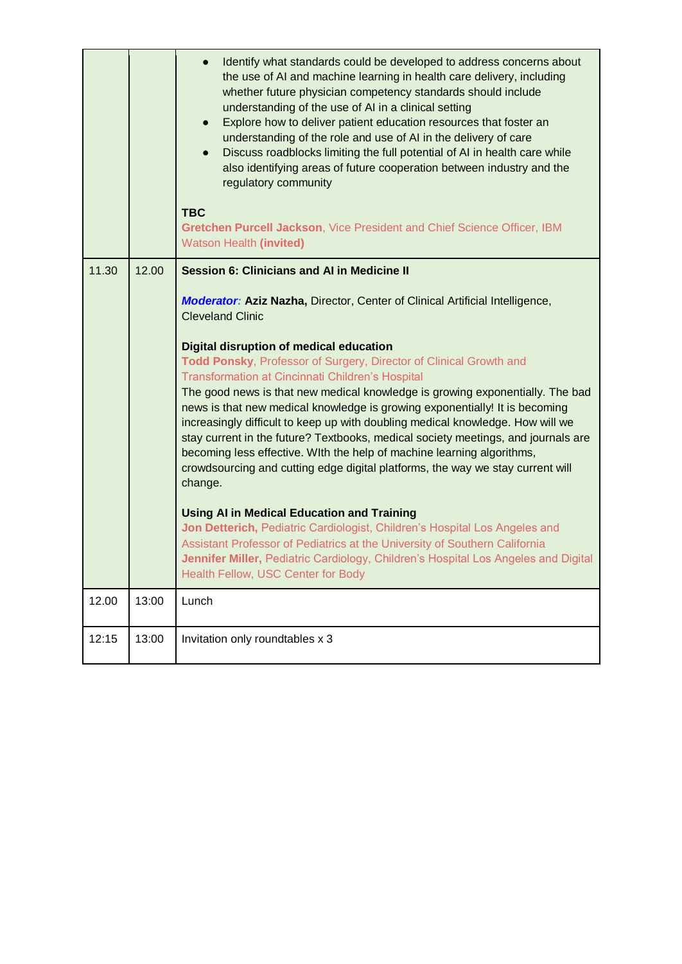|       |       | Identify what standards could be developed to address concerns about<br>the use of AI and machine learning in health care delivery, including<br>whether future physician competency standards should include<br>understanding of the use of AI in a clinical setting<br>Explore how to deliver patient education resources that foster an<br>$\bullet$<br>understanding of the role and use of AI in the delivery of care<br>Discuss roadblocks limiting the full potential of AI in health care while<br>also identifying areas of future cooperation between industry and the<br>regulatory community<br><b>TBC</b><br>Gretchen Purcell Jackson, Vice President and Chief Science Officer, IBM<br>Watson Health (invited) |
|-------|-------|------------------------------------------------------------------------------------------------------------------------------------------------------------------------------------------------------------------------------------------------------------------------------------------------------------------------------------------------------------------------------------------------------------------------------------------------------------------------------------------------------------------------------------------------------------------------------------------------------------------------------------------------------------------------------------------------------------------------------|
| 11.30 | 12.00 | <b>Session 6: Clinicians and AI in Medicine II</b>                                                                                                                                                                                                                                                                                                                                                                                                                                                                                                                                                                                                                                                                           |
|       |       | <b>Moderator: Aziz Nazha, Director, Center of Clinical Artificial Intelligence,</b><br><b>Cleveland Clinic</b>                                                                                                                                                                                                                                                                                                                                                                                                                                                                                                                                                                                                               |
|       |       | Digital disruption of medical education<br>Todd Ponsky, Professor of Surgery, Director of Clinical Growth and<br>Transformation at Cincinnati Children's Hospital<br>The good news is that new medical knowledge is growing exponentially. The bad<br>news is that new medical knowledge is growing exponentially! It is becoming<br>increasingly difficult to keep up with doubling medical knowledge. How will we<br>stay current in the future? Textbooks, medical society meetings, and journals are<br>becoming less effective. With the help of machine learning algorithms,<br>crowdsourcing and cutting edge digital platforms, the way we stay current will<br>change.                                              |
|       |       | <b>Using AI in Medical Education and Training</b><br>Jon Detterich, Pediatric Cardiologist, Children's Hospital Los Angeles and<br>Assistant Professor of Pediatrics at the University of Southern California<br>Jennifer Miller, Pediatric Cardiology, Children's Hospital Los Angeles and Digital<br>Health Fellow, USC Center for Body                                                                                                                                                                                                                                                                                                                                                                                    |
| 12.00 | 13:00 | Lunch                                                                                                                                                                                                                                                                                                                                                                                                                                                                                                                                                                                                                                                                                                                        |
| 12:15 | 13:00 | Invitation only roundtables x 3                                                                                                                                                                                                                                                                                                                                                                                                                                                                                                                                                                                                                                                                                              |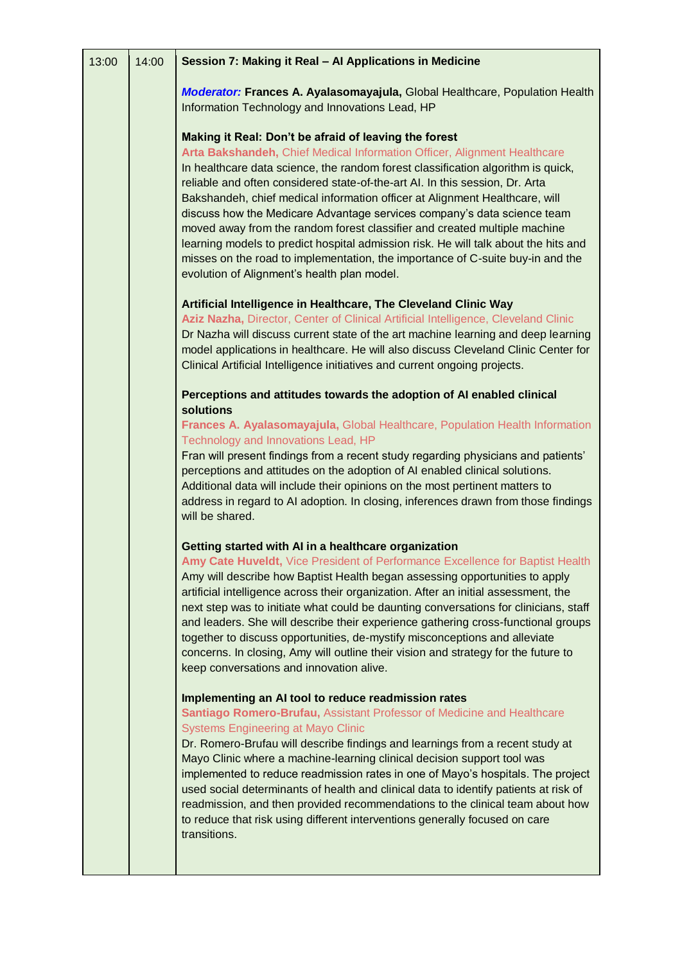| 13:00 | 14:00 | Session 7: Making it Real - Al Applications in Medicine                                                                                                                                                                                                                                                                                                                                                                                                                                                                                                                                                                                                                                                                                                              |
|-------|-------|----------------------------------------------------------------------------------------------------------------------------------------------------------------------------------------------------------------------------------------------------------------------------------------------------------------------------------------------------------------------------------------------------------------------------------------------------------------------------------------------------------------------------------------------------------------------------------------------------------------------------------------------------------------------------------------------------------------------------------------------------------------------|
|       |       | Moderator: Frances A. Ayalasomayajula, Global Healthcare, Population Health<br>Information Technology and Innovations Lead, HP                                                                                                                                                                                                                                                                                                                                                                                                                                                                                                                                                                                                                                       |
|       |       | Making it Real: Don't be afraid of leaving the forest<br>Arta Bakshandeh, Chief Medical Information Officer, Alignment Healthcare<br>In healthcare data science, the random forest classification algorithm is quick,<br>reliable and often considered state-of-the-art AI. In this session, Dr. Arta<br>Bakshandeh, chief medical information officer at Alignment Healthcare, will<br>discuss how the Medicare Advantage services company's data science team<br>moved away from the random forest classifier and created multiple machine<br>learning models to predict hospital admission risk. He will talk about the hits and<br>misses on the road to implementation, the importance of C-suite buy-in and the<br>evolution of Alignment's health plan model. |
|       |       | Artificial Intelligence in Healthcare, The Cleveland Clinic Way<br>Aziz Nazha, Director, Center of Clinical Artificial Intelligence, Cleveland Clinic<br>Dr Nazha will discuss current state of the art machine learning and deep learning<br>model applications in healthcare. He will also discuss Cleveland Clinic Center for<br>Clinical Artificial Intelligence initiatives and current ongoing projects.                                                                                                                                                                                                                                                                                                                                                       |
|       |       | Perceptions and attitudes towards the adoption of AI enabled clinical<br>solutions                                                                                                                                                                                                                                                                                                                                                                                                                                                                                                                                                                                                                                                                                   |
|       |       | Frances A. Ayalasomayajula, Global Healthcare, Population Health Information<br>Technology and Innovations Lead, HP                                                                                                                                                                                                                                                                                                                                                                                                                                                                                                                                                                                                                                                  |
|       |       | Fran will present findings from a recent study regarding physicians and patients'<br>perceptions and attitudes on the adoption of AI enabled clinical solutions.<br>Additional data will include their opinions on the most pertinent matters to<br>address in regard to AI adoption. In closing, inferences drawn from those findings<br>will be shared.                                                                                                                                                                                                                                                                                                                                                                                                            |
|       |       | Getting started with AI in a healthcare organization<br>Amy Cate Huveldt, Vice President of Performance Excellence for Baptist Health<br>Amy will describe how Baptist Health began assessing opportunities to apply<br>artificial intelligence across their organization. After an initial assessment, the<br>next step was to initiate what could be daunting conversations for clinicians, staff<br>and leaders. She will describe their experience gathering cross-functional groups<br>together to discuss opportunities, de-mystify misconceptions and alleviate<br>concerns. In closing, Amy will outline their vision and strategy for the future to<br>keep conversations and innovation alive.                                                             |
|       |       | Implementing an AI tool to reduce readmission rates<br>Santiago Romero-Brufau, Assistant Professor of Medicine and Healthcare<br><b>Systems Engineering at Mayo Clinic</b><br>Dr. Romero-Brufau will describe findings and learnings from a recent study at<br>Mayo Clinic where a machine-learning clinical decision support tool was<br>implemented to reduce readmission rates in one of Mayo's hospitals. The project<br>used social determinants of health and clinical data to identify patients at risk of<br>readmission, and then provided recommendations to the clinical team about how<br>to reduce that risk using different interventions generally focused on care<br>transitions.                                                                    |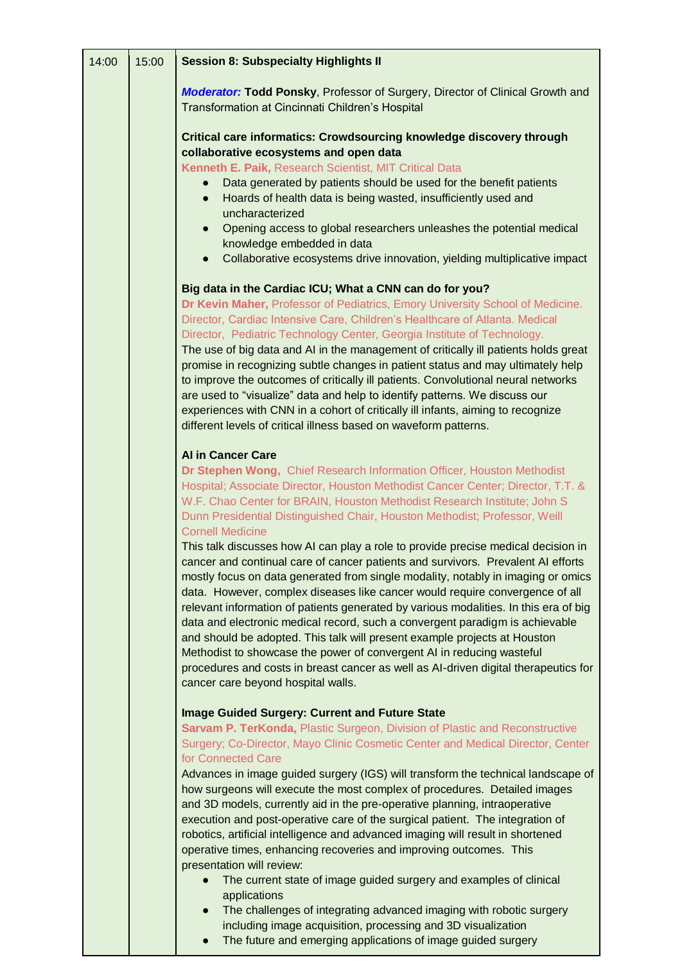| 14:00 | 15:00 | <b>Session 8: Subspecialty Highlights II</b>                                                                                                                                                                                                                                                                                                                                                                                                                                                                                                                                                                                                                                                                                                                                                                                                                                                                                                                                                                                                                                                                                                                                       |
|-------|-------|------------------------------------------------------------------------------------------------------------------------------------------------------------------------------------------------------------------------------------------------------------------------------------------------------------------------------------------------------------------------------------------------------------------------------------------------------------------------------------------------------------------------------------------------------------------------------------------------------------------------------------------------------------------------------------------------------------------------------------------------------------------------------------------------------------------------------------------------------------------------------------------------------------------------------------------------------------------------------------------------------------------------------------------------------------------------------------------------------------------------------------------------------------------------------------|
|       |       | <b>Moderator: Todd Ponsky, Professor of Surgery, Director of Clinical Growth and</b><br>Transformation at Cincinnati Children's Hospital                                                                                                                                                                                                                                                                                                                                                                                                                                                                                                                                                                                                                                                                                                                                                                                                                                                                                                                                                                                                                                           |
|       |       | Critical care informatics: Crowdsourcing knowledge discovery through<br>collaborative ecosystems and open data                                                                                                                                                                                                                                                                                                                                                                                                                                                                                                                                                                                                                                                                                                                                                                                                                                                                                                                                                                                                                                                                     |
|       |       | Kenneth E. Paik, Research Scientist, MIT Critical Data<br>Data generated by patients should be used for the benefit patients<br>Hoards of health data is being wasted, insufficiently used and<br>$\bullet$<br>uncharacterized                                                                                                                                                                                                                                                                                                                                                                                                                                                                                                                                                                                                                                                                                                                                                                                                                                                                                                                                                     |
|       |       | Opening access to global researchers unleashes the potential medical<br>$\bullet$<br>knowledge embedded in data<br>Collaborative ecosystems drive innovation, yielding multiplicative impact<br>$\bullet$                                                                                                                                                                                                                                                                                                                                                                                                                                                                                                                                                                                                                                                                                                                                                                                                                                                                                                                                                                          |
|       |       | Big data in the Cardiac ICU; What a CNN can do for you?                                                                                                                                                                                                                                                                                                                                                                                                                                                                                                                                                                                                                                                                                                                                                                                                                                                                                                                                                                                                                                                                                                                            |
|       |       | Dr Kevin Maher, Professor of Pediatrics, Emory University School of Medicine.<br>Director, Cardiac Intensive Care, Children's Healthcare of Atlanta. Medical<br>Director, Pediatric Technology Center, Georgia Institute of Technology.<br>The use of big data and AI in the management of critically ill patients holds great<br>promise in recognizing subtle changes in patient status and may ultimately help<br>to improve the outcomes of critically ill patients. Convolutional neural networks<br>are used to "visualize" data and help to identify patterns. We discuss our<br>experiences with CNN in a cohort of critically ill infants, aiming to recognize<br>different levels of critical illness based on waveform patterns.                                                                                                                                                                                                                                                                                                                                                                                                                                        |
|       |       | <b>Al in Cancer Care</b><br>Dr Stephen Wong, Chief Research Information Officer, Houston Methodist<br>Hospital; Associate Director, Houston Methodist Cancer Center; Director, T.T. &<br>W.F. Chao Center for BRAIN, Houston Methodist Research Institute; John S<br>Dunn Presidential Distinguished Chair, Houston Methodist; Professor, Weill<br><b>Cornell Medicine</b><br>This talk discusses how AI can play a role to provide precise medical decision in<br>cancer and continual care of cancer patients and survivors. Prevalent AI efforts<br>mostly focus on data generated from single modality, notably in imaging or omics<br>data. However, complex diseases like cancer would require convergence of all<br>relevant information of patients generated by various modalities. In this era of big<br>data and electronic medical record, such a convergent paradigm is achievable<br>and should be adopted. This talk will present example projects at Houston<br>Methodist to showcase the power of convergent AI in reducing wasteful<br>procedures and costs in breast cancer as well as AI-driven digital therapeutics for<br>cancer care beyond hospital walls. |
|       |       | <b>Image Guided Surgery: Current and Future State</b><br>Sarvam P. TerKonda, Plastic Surgeon, Division of Plastic and Reconstructive<br>Surgery; Co-Director, Mayo Clinic Cosmetic Center and Medical Director, Center<br>for Connected Care<br>Advances in image guided surgery (IGS) will transform the technical landscape of<br>how surgeons will execute the most complex of procedures. Detailed images<br>and 3D models, currently aid in the pre-operative planning, intraoperative<br>execution and post-operative care of the surgical patient. The integration of<br>robotics, artificial intelligence and advanced imaging will result in shortened<br>operative times, enhancing recoveries and improving outcomes. This<br>presentation will review:<br>The current state of image guided surgery and examples of clinical<br>applications<br>The challenges of integrating advanced imaging with robotic surgery<br>$\bullet$<br>including image acquisition, processing and 3D visualization                                                                                                                                                                       |

● The future and emerging applications of image guided surgery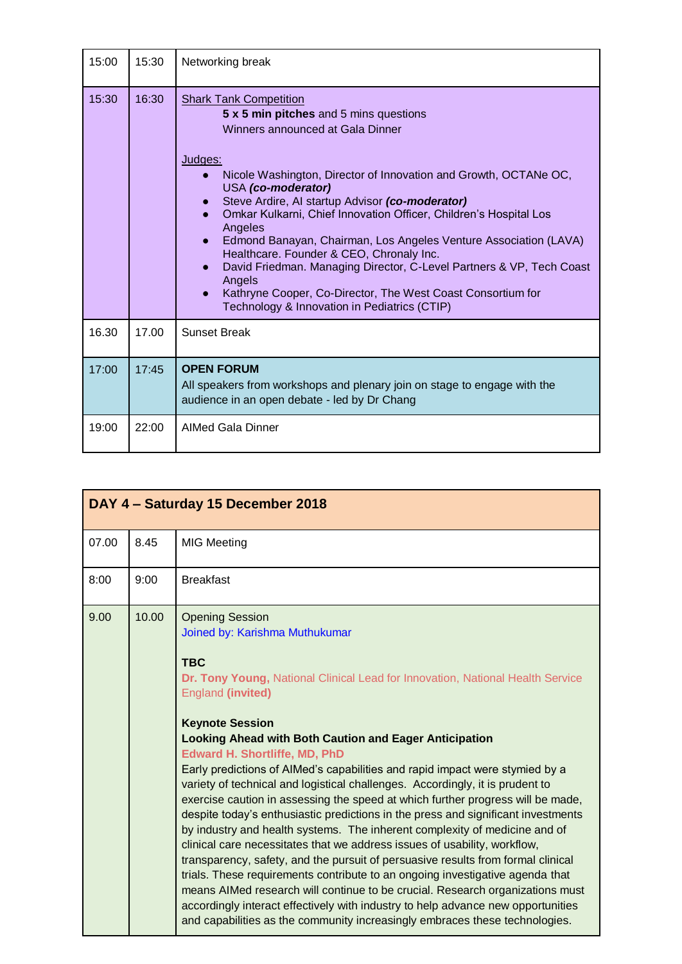| 15:00 | 15:30 | Networking break                                                                                                                                                                                                                                                                                                                                                                                                                                                                                                                                                                                                                                                     |
|-------|-------|----------------------------------------------------------------------------------------------------------------------------------------------------------------------------------------------------------------------------------------------------------------------------------------------------------------------------------------------------------------------------------------------------------------------------------------------------------------------------------------------------------------------------------------------------------------------------------------------------------------------------------------------------------------------|
| 15:30 | 16:30 | <b>Shark Tank Competition</b><br>5 x 5 min pitches and 5 mins questions<br>Winners announced at Gala Dinner<br>Judges:<br>Nicole Washington, Director of Innovation and Growth, OCTANe OC,<br>USA (co-moderator)<br>Steve Ardire, AI startup Advisor (co-moderator)<br>Omkar Kulkarni, Chief Innovation Officer, Children's Hospital Los<br>Angeles<br>Edmond Banayan, Chairman, Los Angeles Venture Association (LAVA)<br>Healthcare. Founder & CEO, Chronaly Inc.<br>David Friedman. Managing Director, C-Level Partners & VP, Tech Coast<br>Angels<br>Kathryne Cooper, Co-Director, The West Coast Consortium for<br>Technology & Innovation in Pediatrics (CTIP) |
| 16.30 | 17.00 | <b>Sunset Break</b>                                                                                                                                                                                                                                                                                                                                                                                                                                                                                                                                                                                                                                                  |
| 17:00 | 17:45 | <b>OPEN FORUM</b><br>All speakers from workshops and plenary join on stage to engage with the<br>audience in an open debate - led by Dr Chang                                                                                                                                                                                                                                                                                                                                                                                                                                                                                                                        |
| 19:00 | 22:00 | <b>AIMed Gala Dinner</b>                                                                                                                                                                                                                                                                                                                                                                                                                                                                                                                                                                                                                                             |

| DAY 4 - Saturday 15 December 2018 |       |                                                                                                                                                                                                                                                                                                                                                                                                                                                                                                                                                                                                                                                                                                                                                                                                                                                                                                                                                                                                                                                                                                                                                                                                                                                      |  |  |  |
|-----------------------------------|-------|------------------------------------------------------------------------------------------------------------------------------------------------------------------------------------------------------------------------------------------------------------------------------------------------------------------------------------------------------------------------------------------------------------------------------------------------------------------------------------------------------------------------------------------------------------------------------------------------------------------------------------------------------------------------------------------------------------------------------------------------------------------------------------------------------------------------------------------------------------------------------------------------------------------------------------------------------------------------------------------------------------------------------------------------------------------------------------------------------------------------------------------------------------------------------------------------------------------------------------------------------|--|--|--|
| 07.00                             | 8.45  | <b>MIG Meeting</b>                                                                                                                                                                                                                                                                                                                                                                                                                                                                                                                                                                                                                                                                                                                                                                                                                                                                                                                                                                                                                                                                                                                                                                                                                                   |  |  |  |
| 8:00                              | 9:00  | <b>Breakfast</b>                                                                                                                                                                                                                                                                                                                                                                                                                                                                                                                                                                                                                                                                                                                                                                                                                                                                                                                                                                                                                                                                                                                                                                                                                                     |  |  |  |
| 9.00                              | 10.00 | <b>Opening Session</b><br>Joined by: Karishma Muthukumar<br><b>TBC</b><br>Dr. Tony Young, National Clinical Lead for Innovation, National Health Service<br><b>England (invited)</b><br><b>Keynote Session</b><br><b>Looking Ahead with Both Caution and Eager Anticipation</b><br><b>Edward H. Shortliffe, MD, PhD</b><br>Early predictions of AIMed's capabilities and rapid impact were stymied by a<br>variety of technical and logistical challenges. Accordingly, it is prudent to<br>exercise caution in assessing the speed at which further progress will be made,<br>despite today's enthusiastic predictions in the press and significant investments<br>by industry and health systems. The inherent complexity of medicine and of<br>clinical care necessitates that we address issues of usability, workflow,<br>transparency, safety, and the pursuit of persuasive results from formal clinical<br>trials. These requirements contribute to an ongoing investigative agenda that<br>means AIMed research will continue to be crucial. Research organizations must<br>accordingly interact effectively with industry to help advance new opportunities<br>and capabilities as the community increasingly embraces these technologies. |  |  |  |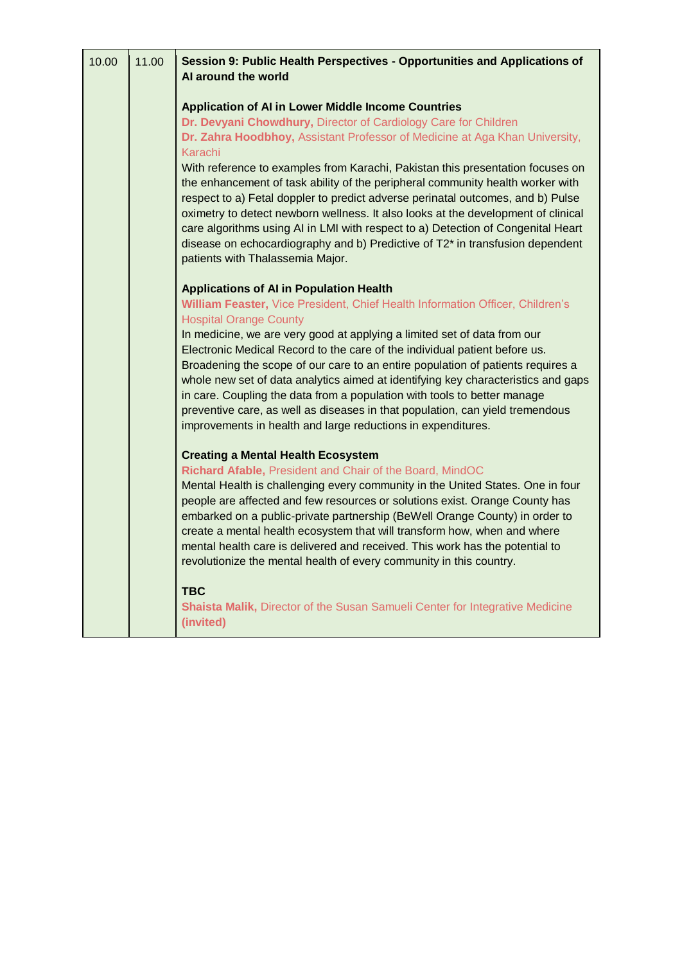| 10.00 | 11.00 | Session 9: Public Health Perspectives - Opportunities and Applications of<br>AI around the world                                                                                                                                                                                                                                                                                                                                                                                                                                                                                         |
|-------|-------|------------------------------------------------------------------------------------------------------------------------------------------------------------------------------------------------------------------------------------------------------------------------------------------------------------------------------------------------------------------------------------------------------------------------------------------------------------------------------------------------------------------------------------------------------------------------------------------|
|       |       | <b>Application of AI in Lower Middle Income Countries</b><br>Dr. Devyani Chowdhury, Director of Cardiology Care for Children<br>Dr. Zahra Hoodbhoy, Assistant Professor of Medicine at Aga Khan University,<br>Karachi                                                                                                                                                                                                                                                                                                                                                                   |
|       |       | With reference to examples from Karachi, Pakistan this presentation focuses on<br>the enhancement of task ability of the peripheral community health worker with<br>respect to a) Fetal doppler to predict adverse perinatal outcomes, and b) Pulse<br>oximetry to detect newborn wellness. It also looks at the development of clinical<br>care algorithms using AI in LMI with respect to a) Detection of Congenital Heart<br>disease on echocardiography and b) Predictive of T2* in transfusion dependent<br>patients with Thalassemia Major.                                        |
|       |       | <b>Applications of AI in Population Health</b>                                                                                                                                                                                                                                                                                                                                                                                                                                                                                                                                           |
|       |       | William Feaster, Vice President, Chief Health Information Officer, Children's<br><b>Hospital Orange County</b>                                                                                                                                                                                                                                                                                                                                                                                                                                                                           |
|       |       | In medicine, we are very good at applying a limited set of data from our<br>Electronic Medical Record to the care of the individual patient before us.<br>Broadening the scope of our care to an entire population of patients requires a<br>whole new set of data analytics aimed at identifying key characteristics and gaps<br>in care. Coupling the data from a population with tools to better manage<br>preventive care, as well as diseases in that population, can yield tremendous<br>improvements in health and large reductions in expenditures.                              |
|       |       | <b>Creating a Mental Health Ecosystem</b><br>Richard Afable, President and Chair of the Board, MindOC<br>Mental Health is challenging every community in the United States. One in four<br>people are affected and few resources or solutions exist. Orange County has<br>embarked on a public-private partnership (BeWell Orange County) in order to<br>create a mental health ecosystem that will transform how, when and where<br>mental health care is delivered and received. This work has the potential to<br>revolutionize the mental health of every community in this country. |
|       |       | <b>TBC</b><br>Shaista Malik, Director of the Susan Samueli Center for Integrative Medicine<br>(invited)                                                                                                                                                                                                                                                                                                                                                                                                                                                                                  |